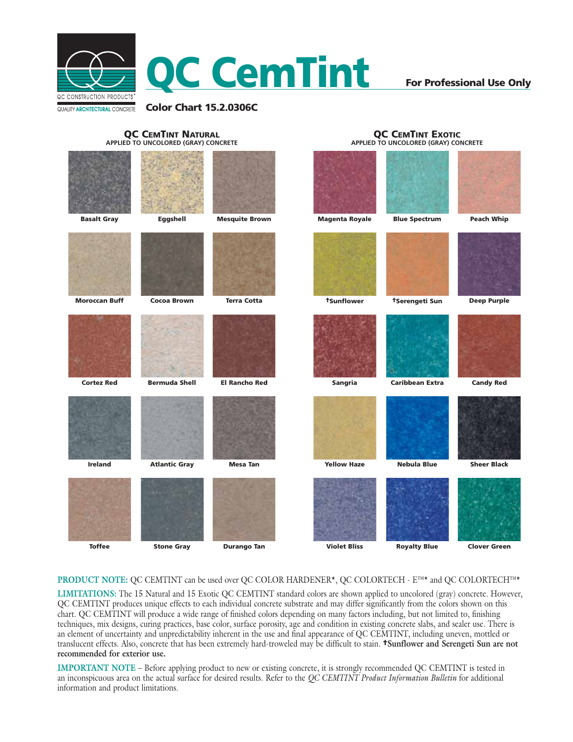

## **For Professional Use Only**

**QC CEMTINT EXOTIC APPLIED TO UNCOLORED (GRAY) CONCRETE**

#### **QC CEMTINT NATURAL APPLIED TO UNCOLORED (GRAY) CONCRETE**

| <b>Basalt Gray</b>   | Eggshell             | <b>Mesquite Brown</b> | <b>Magenta Royale</b> | <b>Blue Spectrum</b>   | <b>Peach Whip</b>   |
|----------------------|----------------------|-----------------------|-----------------------|------------------------|---------------------|
|                      |                      |                       |                       |                        |                     |
| <b>Moroccan Buff</b> | <b>Cocoa Brown</b>   | <b>Terra Cotta</b>    | tSunflower            | †Serengeti Sun         | <b>Deep Purple</b>  |
|                      |                      |                       |                       |                        |                     |
| <b>Cortez Red</b>    | <b>Bermuda Shell</b> | <b>El Rancho Red</b>  | Sangria               | <b>Caribbean Extra</b> | <b>Candy Red</b>    |
|                      |                      |                       |                       |                        |                     |
| <b>Ireland</b>       | <b>Atlantic Gray</b> | <b>Mesa Tan</b>       | <b>Yellow Haze</b>    | <b>Nebula Blue</b>     | <b>Sheer Black</b>  |
|                      |                      |                       |                       |                        |                     |
| <b>Toffee</b>        | <b>Stone Gray</b>    | <b>Durango Tan</b>    | <b>Violet Bliss</b>   | <b>Royalty Blue</b>    | <b>Clover Green</b> |

### **PRODUCT NOTE:** QC CEMTINT can be used over QC COLOR HARDENER\*, QC COLORTECH - E™\* and QC COLORTECH™\*

**LIMITATIONS:** The 15 Natural and 15 Exotic QC CEMTINT standard colors are shown applied to uncolored (gray) concrete. However, QC CEMTINT produces unique effects to each individual concrete substrate and may differ significantly from the colors shown on this chart. QC CEMTINT will produce a wide range of finished colors depending on many factors including, but not limited to, finishing techniques, mix designs, curing practices, base color, surface porosity, age and condition in existing concrete slabs, and sealer use. There is an element of uncertainty and unpredictability inherent in the use and final appearance of QC CEMTINT, including uneven, mottled or translucent effects. Also, concrete that has been extremely hard-troweled may be difficult to stain. **†Sunflower and Serengeti Sun are not recommended for exterior use.**

**IMPORTANT NOTE** – Before applying product to new or existing concrete, it is strongly recommended QC CEMTINT is tested in an inconspicuous area on the actual surface for desired results. Refer to the *QC CEMTINT Product Information Bulletin* for additional information and product limitations.